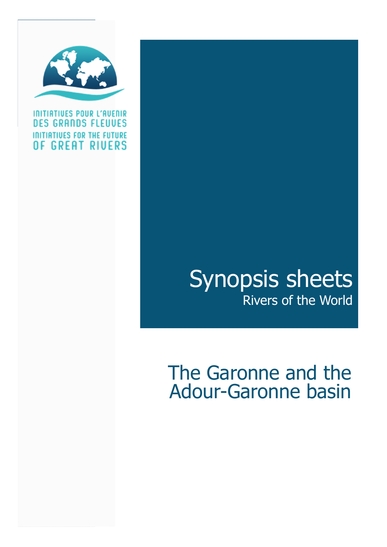

INITIATIVES POUR L'AVENIR **GRANDS FLEUVES** n p **INITIATIVES FOR THE FUTURE** OF GREAT RIVERS

## Synopsis sheets .<br>Rivers of the World

## The Garonne and the Adour-Garonne basin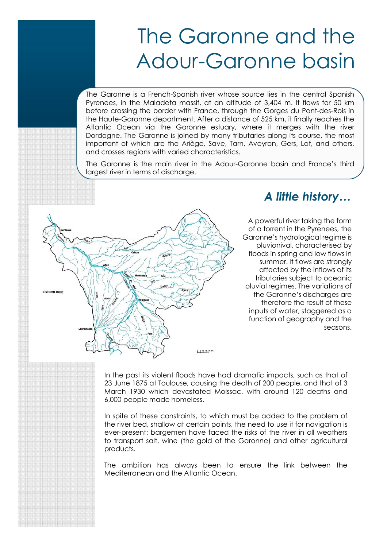The Garonne is a French-Spanish river whose source lies in the central Spanish Pyrenees, in the Maladeta massif, at an altitude of 3,404 m. It flows for 50 km before crossing the border with France, through the Gorges du Pont-des-Rois in the Haute-Garonne department. After a distance of 525 km, it finally reaches the Atlantic Ocean via the Garonne estuary, where it merges with the river Dordogne. The Garonne is joined by many tributaries along its course, the most important of which are the Ariège, Save, Tarn, Aveyron, Gers, Lot, and others, and crosses regions with varied characteristics.

The Garonne is the main river in the Adour-Garonne basin and France's third largest river in terms of discharge.



## *A little history…*

A powerful river taking the form of a torrent in the Pyrenees, the Garonne's hydrological regime is pluvionival, characterised by floods in spring and low flows in summer. It flows are strongly affected by the inflows of its tributaries subject to oceanic pluvial regimes. The variations of the Garonne's discharges are therefore the result of these inputs of water, staggered as a function of geography and the seasons.

In the past its violent floods have had dramatic impacts, such as that of 23 June 1875 at Toulouse, causing the death of 200 people, and that of 3 March 1930 which devastated Moissac, with around 120 deaths and 6,000 people made homeless.

In spite of these constraints, to which must be added to the problem of the river bed, shallow at certain points, the need to use it for navigation is ever-present: bargemen have faced the risks of the river in all weathers to transport salt, wine (the gold of the Garonne) and other agricultural products.

The ambition has always been to ensure the link between the Mediterranean and the Atlantic Ocean.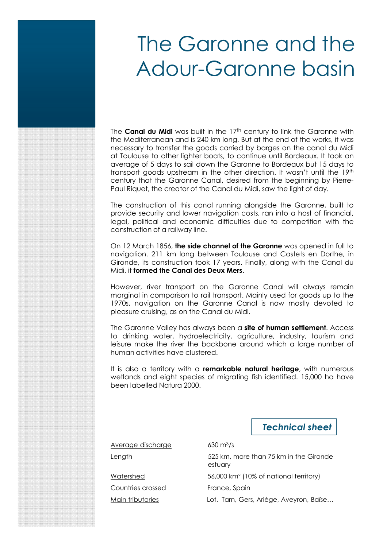The **Canal du Midi** was built in the 17<sup>th</sup> century to link the Garonne with the Mediterranean and is 240 km long. But at the end of the works, it was necessary to transfer the goods carried by barges on the canal du Midi at Toulouse to other lighter boats, to continue until Bordeaux. It took an average of 5 days to sail down the Garonne to Bordeaux but 15 days to transport goods upstream in the other direction. It wasn't until the 19th century that the Garonne Canal, desired from the beginning by Pierre-Paul Riquet, the creator of the Canal du Midi, saw the light of day.

The construction of this canal running alongside the Garonne, built to provide security and lower navigation costs, ran into a host of financial, legal, political and economic difficulties due to competition with the construction of a railway line.

On 12 March 1856, **the side channel of the Garonne** was opened in full to navigation. 211 km long between Toulouse and Castets en Dorthe, in Gironde, its construction took 17 years. Finally, along with the Canal du Midi, it **formed the Canal des Deux Mers**.

However, river transport on the Garonne Canal will always remain marginal in comparison to rail transport. Mainly used for goods up to the 1970s, navigation on the Garonne Canal is now mostly devoted to pleasure cruising, as on the Canal du Midi.

The Garonne Valley has always been a **site of human settlement**. Access to drinking water, hydroelectricity, agriculture, industry, tourism and leisure make the river the backbone around which a large number of human activities have clustered.

It is also a territory with a **remarkable natural heritage**, with numerous wetlands and eight species of migrating fish identified. 15,000 ha have been labelled Natura 2000.

*Technical sheet*

Average discharge 630 m<sup>3</sup>/s

Length 525 km, more than 75 km in the Gironde estuary

Watershed 56,000 km² (10% of national territory)

Countries crossed France, Spain

Main tributaries Lot, Tarn, Gers, Ariège, Aveyron, Baïse...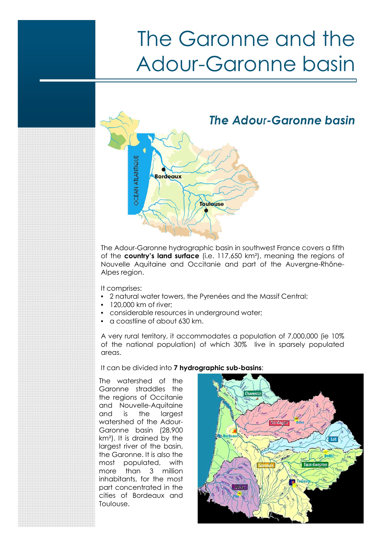

The Adour-Garonne hydrographic basin in southwest France covers a fifth of the **country's land surface** (i.e. 117,650 km²), meaning the regions of Nouvelle Aquitaine and Occitanie and part of the Auvergne-Rhône-Alpes region.

It comprises:

- 2 natural water towers, the Pyrenées and the Massif Central;
- 120,000 km of river;
- considerable resources in underground water;
- a coastline of about 630 km.

A very rural territory, it accommodates a population of 7,000,000 (ie 10% of the national population) of which 30% live in sparsely populated areas.

It can be divided into **7 hydrographic sub-basins**:

The watershed of the Garonne straddles the the regions of Occitanie and Nouvelle-Aquitaine and is the largest watershed of the Adour-Garonne basin (28,900 km²). It is drained by the largest river of the basin, the Garonne. It is also the most populated, with more than 3 million inhabitants, for the most part concentrated in the cities of Bordeaux and Toulouse.

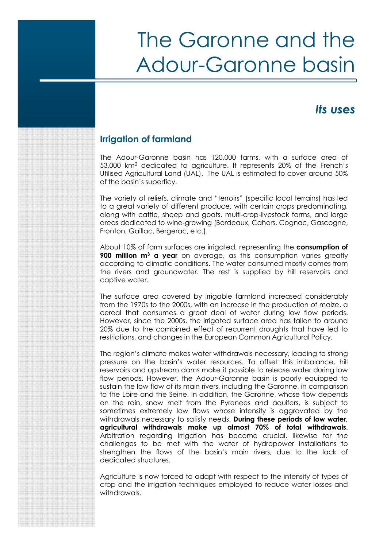### *Its uses*

#### **Irrigation of farmland**

The Adour-Garonne basin has 120,000 farms, with a surface area of 53,000 km<sup>2</sup> dedicated to agriculture. It represents 20% of the French's Utilised Agricultural Land (UAL). The UAL is estimated to cover around 50% of the basin's superficy.

The variety of reliefs, climate and "terroirs" (specific local terrains) has led to a great variety of different produce, with certain crops predominating, along with cattle, sheep and goats, multi-crop-livestock farms, and large areas dedicated to wine-growing (Bordeaux, Cahors, Cognac, Gascogne, Fronton, Gaillac, Bergerac, etc.).

About 10% of farm surfaces are irrigated, representing the **consumption of 900 million m<sup>3</sup> a year** on average, as this consumption varies greatly according to climatic conditions. The water consumed mostly comes from the rivers and groundwater. The rest is supplied by hill reservoirs and captive water.

The surface area covered by irrigable farmland increased considerably from the 1970s to the 2000s, with an increase in the production of maize, a cereal that consumes a great deal of water during low flow periods. However, since the 2000s, the irrigated surface area has fallen to around 20% due to the combined effect of recurrent droughts that have led to restrictions, and changes in the European Common Agricultural Policy.

The region's climate makes water withdrawals necessary, leading to strong pressure on the basin's water resources. To offset this imbalance, hill reservoirs and upstream dams make it possible to release water during low flow periods. However, the Adour-Garonne basin is poorly equipped to sustain the low flow of its main rivers, including the Garonne, in comparison to the Loire and the Seine. In addition, the Garonne, whose flow depends on the rain, snow melt from the Pyrenees and aquifers, is subject to sometimes extremely low flows whose intensity is aggravated by the withdrawals necessary to satisfy needs. **During these periods of low water, agricultural withdrawals make up almost 70% of total withdrawals**. Arbitration regarding irrigation has become crucial, likewise for the challenges to be met with the water of hydropower installations to strengthen the flows of the basin's main rivers, due to the lack of dedicated structures.

Agriculture is now forced to adapt with respect to the intensity of types of crop and the irrigation techniques employed to reduce water losses and withdrawals.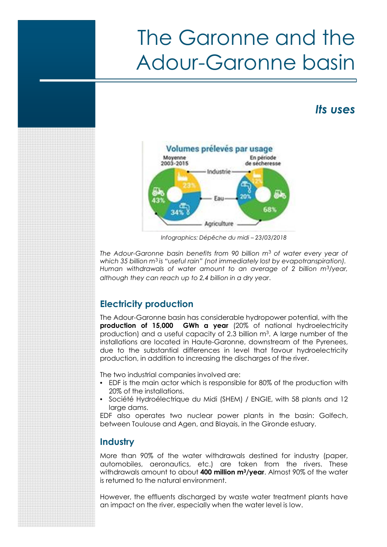### *Its uses*



*Infographics: Dépêche du midi – 23/03/2018*

*The Adour-Garonne basin benefits from 90 billion m*<sup>3</sup> *of water every year of* which 35 billion m<sup>3</sup> is "useful rain" (not immediately lost by evapotranspiration). *Human withdrawals of water amount to an average of 2 billion m*<sup>3</sup>*/year, although they can reach up to 2,4 billion in a dry year*.

### **Electricity production**

The Adour-Garonne basin has considerable hydropower potential, with the **production of 15,000 GWh a year** (20% of national hydroelectricity production) and a useful capacity of 2.3 billion m<sup>3</sup>. A large number of the installations are located in Haute-Garonne, downstream of the Pyrenees, due to the substantial differences in level that favour hydroelectricity production, in addition to increasing the discharges of the river.

The two industrial companies involved are:

- EDF is the main actor which is responsible for 80% of the production with 20% of the installations.
- Société Hydroélectrique du Midi (SHEM) / ENGIE, with 58 plants and 12 large dams.

EDF also operates two nuclear power plants in the basin: Golfech, between Toulouse and Agen, and Blayais, in the Gironde estuary.

#### **Industry**

More than 90% of the water withdrawals destined for industry (paper, automobiles, aeronautics, etc.) are taken from the rivers. These withdrawals amount to about **400 million m<sup>3</sup>/year**. Almost 90% of the water is returned to the natural environment.

However, the effluents discharged by waste water treatment plants have an impact on the river, especially when the water level is low.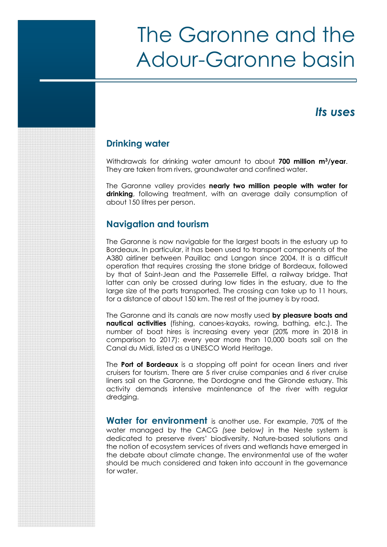### *Its uses*

#### **Drinking water**

Withdrawals for drinking water amount to about **700 million m<sup>3</sup>/year**. They are taken from rivers, groundwater and confined water.

The Garonne valley provides **nearly two million people with water for** drinking, following treatment, with an average daily consumption of about 150 litres per person.

#### **Navigation and tourism**

The Garonne is now navigable for the largest boats in the estuary up to Bordeaux. In particular, it has been used to transport components of the A380 airliner between Pauillac and Langon since 2004. It is a difficult operation that requires crossing the stone bridge of Bordeaux, followed by that of Saint-Jean and the Passerrelle Eiffel, a railway bridge. That latter can only be crossed during low tides in the estuary, due to the large size of the parts transported. The crossing can take up to 11 hours, for a distance of about 150 km. The rest of the journey is by road.

The Garonne and its canals are now mostly used **by pleasure boats and nautical activities** (fishing, canoes-kayaks, rowing, bathing, etc.). The number of boat hires is increasing every year (20% more in 2018 in comparison to 2017): every year more than 10,000 boats sail on the Canal du Midi, listed as a UNESCO World Heritage.

The **Port of Bordeaux** is a stopping off point for ocean liners and river cruisers for tourism. There are 5 river cruise companies and 6 river cruise liners sail on the Garonne, the Dordogne and the Gironde estuary. This activity demands intensive maintenance of the river with regular dredging.

**Water for environment** is another use. For example, 70% of the water managed by the CACG *(see below)* in the Neste system is dedicated to preserve rivers' biodiversity. Nature-based solutions and the notion of ecosystem services of rivers and wetlands have emerged in the debate about climate change. The environmental use of the water should be much considered and taken into account in the governance for water.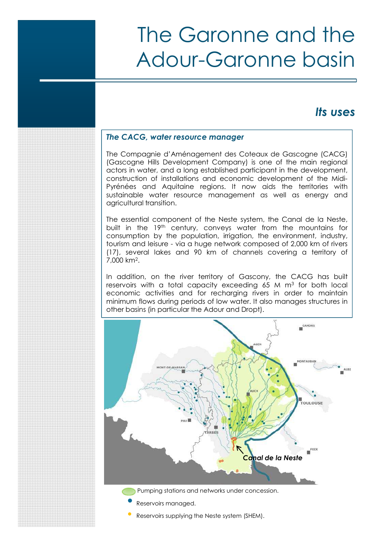### *Its uses*

#### *The CACG, water resource manager*

The Compagnie d'Aménagement des Coteaux de Gascogne (CACG) (Gascogne Hills Development Company) is one of the main regional actors in water, and a long established participant in the development, construction of installations and economic development of the Midi-Pyrénées and Aquitaine regions. It now aids the territories with sustainable water resource management as well as energy and agricultural transition.

The essential component of the Neste system, the Canal de la Neste, built in the 19th century, conveys water from the mountains for consumption by the population, irrigation, the environment, industry, tourism and leisure - via a huge network composed of 2,000 km of rivers (17), several lakes and 90 km of channels covering a territory of 7,000 km<sup>2</sup> .

In addition, on the river territory of Gascony, the CACG has built reservoirs with a total capacity exceeding 65 M  $\mathrm{m}^3$  for both local economic activities and for recharging rivers in order to maintain minimum flows during periods of low water. It also manages structures in other basins (in particular the Adour and Dropt).



• Reservoirs supplying the Neste system (SHEM).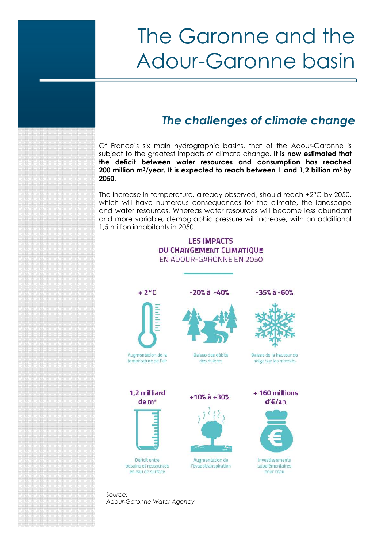## *The challenges of climate change*

Of France's six main hydrographic basins, that of the Adour-Garonne is subject to the greatest impacts of climate change. **It is now estimated that the deficit between water resources and consumption has reached 200 million m<sup>3</sup>/year. It is expected to reach between 1 and 1,2 billion m<sup>3</sup> by 2050.**

The increase in temperature, already observed, should reach +2°C by 2050, which will have numerous consequences for the climate, the landscape and water resources. Whereas water resources will become less abundant and more variable, demographic pressure will increase, with an additional 1,5 million inhabitants in 2050.

#### **LES IMPACTS DU CHANGEMENT CLIMATIQUE** EN ADOUR-GARONNE EN 2050







 $-20\%$  à  $-40\%$ 

Baisse des débits des rivières





Baisse de la hauteur de neige sur les massifs

1.2 milliard  $de<sup>3</sup>$ 



Déficit entre besoins et ressources en eau de surface



Augmentation de l'évapotranspiration



Investissements supplémentaires pour l'eau

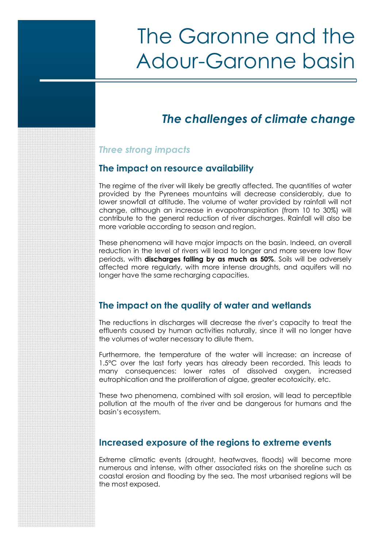## *The challenges of climate change*

### *Three strong impacts*

#### **The impact on resource availability**

The regime of the river will likely be greatly affected. The quantities of water provided by the Pyrenees mountains will decrease considerably, due to lower snowfall at altitude. The volume of water provided by rainfall will not change, although an increase in evapotranspiration (from 10 to 30%) will contribute to the general reduction of river discharges. Rainfall will also be more variable according to season and region.

These phenomena will have major impacts on the basin. Indeed, an overall reduction in the level of rivers will lead to longer and more severe low flow periods, with **discharges falling by as much as 50%**. Soils will be adversely affected more regularly, with more intense droughts, and aquifers will no longer have the same recharging capacities.

### **The impact on the quality of water and wetlands**

The reductions in discharges will decrease the river's capacity to treat the effluents caused by human activities naturally, since it will no longer have the volumes of water necessary to dilute them.

Furthermore, the temperature of the water will increase: an increase of 1.5°C over the last forty years has already been recorded. This leads to many consequences: lower rates of dissolved oxygen, increased eutrophication and the proliferation of algae, greater ecotoxicity, etc.

These two phenomena, combined with soil erosion, will lead to perceptible pollution at the mouth of the river and be dangerous for humans and the basin's ecosystem.

### **Increased exposure of the regions to extreme events**

Extreme climatic events (drought, heatwaves, floods) will become more numerous and intense, with other associated risks on the shoreline such as coastal erosion and flooding by the sea. The most urbanised regions will be the most exposed.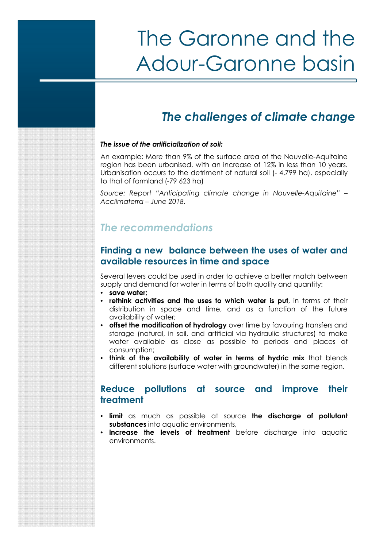## *The challenges of climate change*

#### *The issue of the artificialization of soil:*

An example: More than 9% of the surface area of the Nouvelle-Aquitaine region has been urbanised, with an increase of 12% in less than 10 years. Urbanisation occurs to the detriment of natural soil (- 4,799 ha), especially to that of farmland (-79 623 ha)

*Source: Report "Anticipating climate change in Nouvelle-Aquitaine" – Acclimaterra – June 2018.*

### *The recommendations*

#### **Finding a new balance between the uses of water and available resources in time and space**

Several levers could be used in order to achieve a better match between supply and demand for water in terms of both quality and quantity:

- **save water;**
- **rethink activities and the uses to which water is put**, in terms of their distribution in space and time, and as a function of the future availability of water;
- **offset the modification of hydrology** over time by favouring transfers and storage (natural, in soil, and artificial via hydraulic structures) to make water available as close as possible to periods and places of consumption;
- **think of the availability of water in terms of hydric mix** that blends different solutions (surface water with groundwater) in the same region.

#### **Reduce pollutions at source and improve their treatment**

- **limit** as much as possible at source **the discharge of pollutant substances** into aquatic environments,
- **increase the levels of treatment** before discharge into aquatic environments.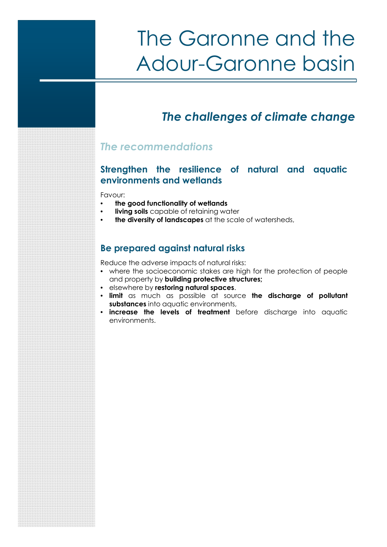## *The challenges of climate change*

### *The recommendations*

### **Strengthen the resilience of natural and aquatic environments and wetlands**

Favour:

- **the good functionality of wetlands**
- **living soils** capable of retaining water
- **the diversity of landscapes** at the scale of watersheds,

### **Be prepared against natural risks**

Reduce the adverse impacts of natural risks:

- where the socioeconomic stakes are high for the protection of people and property by **building protective structures;**
- elsewhere by **restoring natural spaces**.
- **limit** as much as possible at source **the discharge of pollutant** substances into aquatic environments,
- **increase the levels of treatment** before discharge into aquatic environments.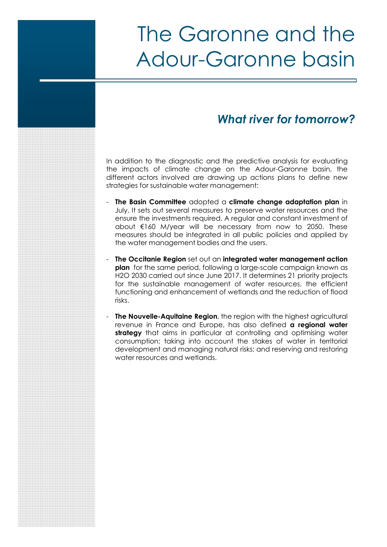### *What river for tomorrow?*

In addition to the diagnostic and the predictive analysis for evaluating the impacts of climate change on the Adour-Garonne basin, the different actors involved are drawing up actions plans to define new strategies for sustainable water management:

- **The Basin Committee** adopted a **climate change adaptation plan** in July. It sets out several measures to preserve water resources and the ensure the investments required. A regular and constant investment of about €160 M/year will be necessary from now to 2050. These measures should be integrated in all public policies and applied by the water management bodies and the users.
- **The Occitanie Region** set out an **integrated water management action plan** for the same period, following a large-scale campaign known as H2O 2030 carried out since June 2017. It determines 21 priority projects for the sustainable management of water resources, the efficient functioning and enhancement of wetlands and the reduction of flood risks.
- **The Nouvelle-Aquitaine Region**, the region with the highest agricultural revenue in France and Europe, has also defined **a regional water strategy** that aims in particular at controlling and optimising water consumption; taking into account the stakes of water in territorial development and managing natural risks; and reserving and restoring water resources and wetlands.